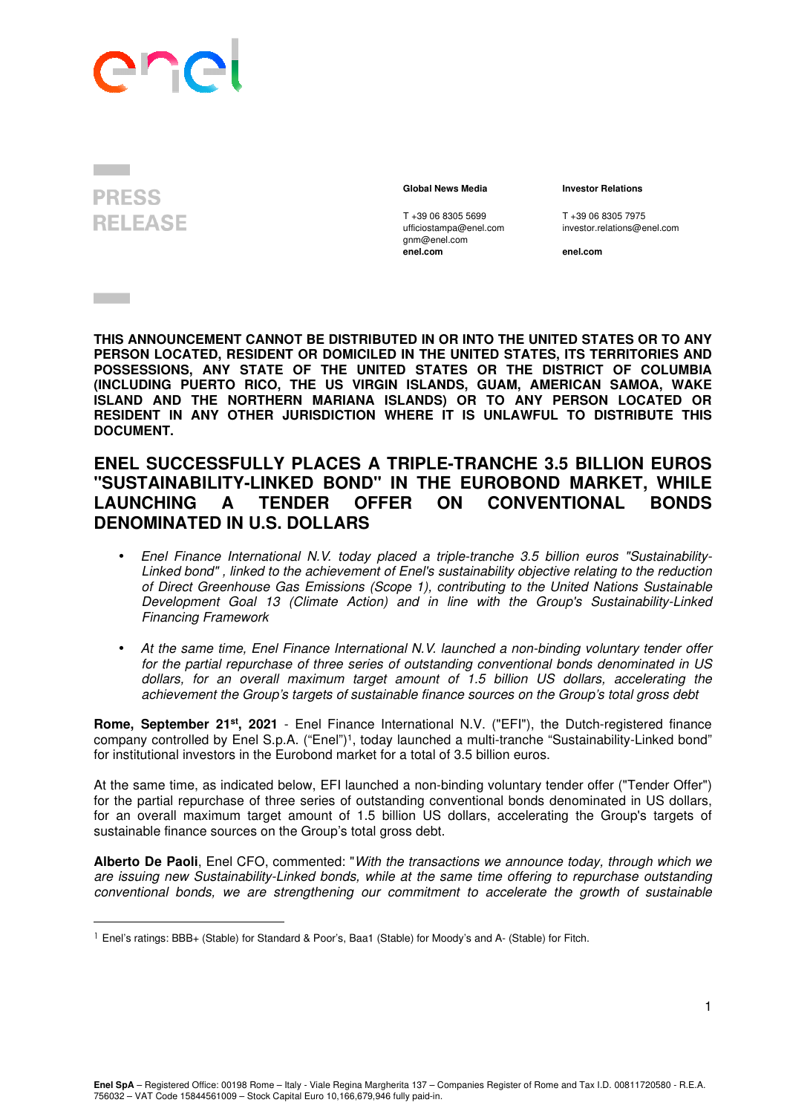

**PRESS RELEASE** 

**Contract Contract** 

 **Global News Media Investor Relations** 

T +39 06 8305 5699 T +39 06 8305 7975<br>
ufficiostampa@enel.com investor.relations@e gnm@enel.com<br>enel.com

investor.relations@enel.com

**enel.com enel.com**

**THIS ANNOUNCEMENT CANNOT BE DISTRIBUTED IN OR INTO THE UNITED STATES OR TO ANY PERSON LOCATED, RESIDENT OR DOMICILED IN THE UNITED STATES, ITS TERRITORIES AND POSSESSIONS, ANY STATE OF THE UNITED STATES OR THE DISTRICT OF COLUMBIA (INCLUDING PUERTO RICO, THE US VIRGIN ISLANDS, GUAM, AMERICAN SAMOA, WAKE ISLAND AND THE NORTHERN MARIANA ISLANDS) OR TO ANY PERSON LOCATED OR RESIDENT IN ANY OTHER JURISDICTION WHERE IT IS UNLAWFUL TO DISTRIBUTE THIS DOCUMENT.** 

## **ENEL SUCCESSFULLY PLACES A TRIPLE-TRANCHE 3.5 BILLION EUROS "SUSTAINABILITY-LINKED BOND" IN THE EUROBOND MARKET, WHILE LAUNCHING A TENDER OFFER ON CONVENTIONAL BONDS DENOMINATED IN U.S. DOLLARS**

- Enel Finance International N.V. today placed a triple-tranche 3.5 billion euros "Sustainability-Linked bond" , linked to the achievement of Enel's sustainability objective relating to the reduction of Direct Greenhouse Gas Emissions (Scope 1), contributing to the United Nations Sustainable Development Goal 13 (Climate Action) and in line with the Group's Sustainability-Linked Financing Framework
- At the same time, Enel Finance International N.V. launched a non-binding voluntary tender offer for the partial repurchase of three series of outstanding conventional bonds denominated in US dollars, for an overall maximum target amount of 1.5 billion US dollars, accelerating the achievement the Group's targets of sustainable finance sources on the Group's total gross debt

**Rome, September 21st, 2021** - Enel Finance International N.V. ("EFI"), the Dutch-registered finance company controlled by Enel S.p.A. ("Enel")<sup>1</sup> , today launched a multi-tranche "Sustainability-Linked bond" for institutional investors in the Eurobond market for a total of 3.5 billion euros.

At the same time, as indicated below, EFI launched a non-binding voluntary tender offer ("Tender Offer") for the partial repurchase of three series of outstanding conventional bonds denominated in US dollars, for an overall maximum target amount of 1.5 billion US dollars, accelerating the Group's targets of sustainable finance sources on the Group's total gross debt.

**Alberto De Paoli**, Enel CFO, commented: "With the transactions we announce today, through which we are issuing new Sustainability-Linked bonds, while at the same time offering to repurchase outstanding conventional bonds, we are strengthening our commitment to accelerate the growth of sustainable

<sup>&</sup>lt;sup>1</sup> Enel's ratings: BBB+ (Stable) for Standard & Poor's, Baa1 (Stable) for Moody's and A- (Stable) for Fitch.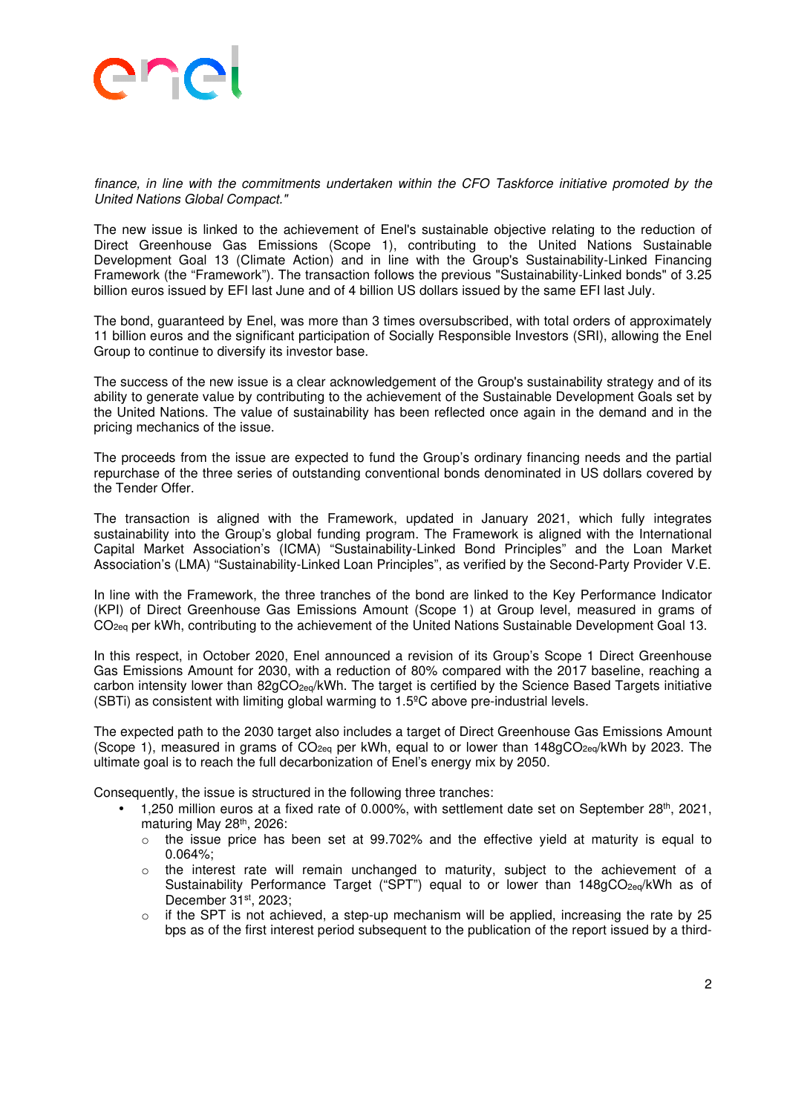

finance, in line with the commitments undertaken within the CFO Taskforce initiative promoted by the United Nations Global Compact."

The new issue is linked to the achievement of Enel's sustainable objective relating to the reduction of Direct Greenhouse Gas Emissions (Scope 1), contributing to the United Nations Sustainable Development Goal 13 (Climate Action) and in line with the Group's Sustainability-Linked Financing Framework (the "Framework"). The transaction follows the previous "Sustainability-Linked bonds" of 3.25 billion euros issued by EFI last June and of 4 billion US dollars issued by the same EFI last July.

The bond, guaranteed by Enel, was more than 3 times oversubscribed, with total orders of approximately 11 billion euros and the significant participation of Socially Responsible Investors (SRI), allowing the Enel Group to continue to diversify its investor base.

The success of the new issue is a clear acknowledgement of the Group's sustainability strategy and of its ability to generate value by contributing to the achievement of the Sustainable Development Goals set by the United Nations. The value of sustainability has been reflected once again in the demand and in the pricing mechanics of the issue.

The proceeds from the issue are expected to fund the Group's ordinary financing needs and the partial repurchase of the three series of outstanding conventional bonds denominated in US dollars covered by the Tender Offer.

The transaction is aligned with the Framework, updated in January 2021, which fully integrates sustainability into the Group's global funding program. The Framework is aligned with the International Capital Market Association's (ICMA) "Sustainability-Linked Bond Principles" and the Loan Market Association's (LMA) "Sustainability-Linked Loan Principles", as verified by the Second-Party Provider V.E.

In line with the Framework, the three tranches of the bond are linked to the Key Performance Indicator (KPI) of Direct Greenhouse Gas Emissions Amount (Scope 1) at Group level, measured in grams of CO<sub>2eq</sub> per kWh, contributing to the achievement of the United Nations Sustainable Development Goal 13.

In this respect, in October 2020, Enel announced a revision of its Group's Scope 1 Direct Greenhouse Gas Emissions Amount for 2030, with a reduction of 80% compared with the 2017 baseline, reaching a carbon intensity lower than 82gCO<sub>2eq</sub>/kWh. The target is certified by the Science Based Targets initiative (SBTi) as consistent with limiting global warming to 1.5ºC above pre-industrial levels.

The expected path to the 2030 target also includes a target of Direct Greenhouse Gas Emissions Amount (Scope 1), measured in grams of  $CO<sub>2e0</sub>$  per kWh, equal to or lower than 148gCO<sub>2eq</sub>/kWh by 2023. The ultimate goal is to reach the full decarbonization of Enel's energy mix by 2050.

Consequently, the issue is structured in the following three tranches:

- 1,250 million euros at a fixed rate of 0.000%, with settlement date set on September 28<sup>th</sup>, 2021, maturing May 28th, 2026:
- $\circ$  the issue price has been set at 99.702% and the effective yield at maturity is equal to 0.064%;
- o the interest rate will remain unchanged to maturity, subject to the achievement of a Sustainability Performance Target ("SPT") equal to or lower than 148gCO2eq/kWh as of December 31st, 2023;
- $\circ$  if the SPT is not achieved, a step-up mechanism will be applied, increasing the rate by 25 bps as of the first interest period subsequent to the publication of the report issued by a third-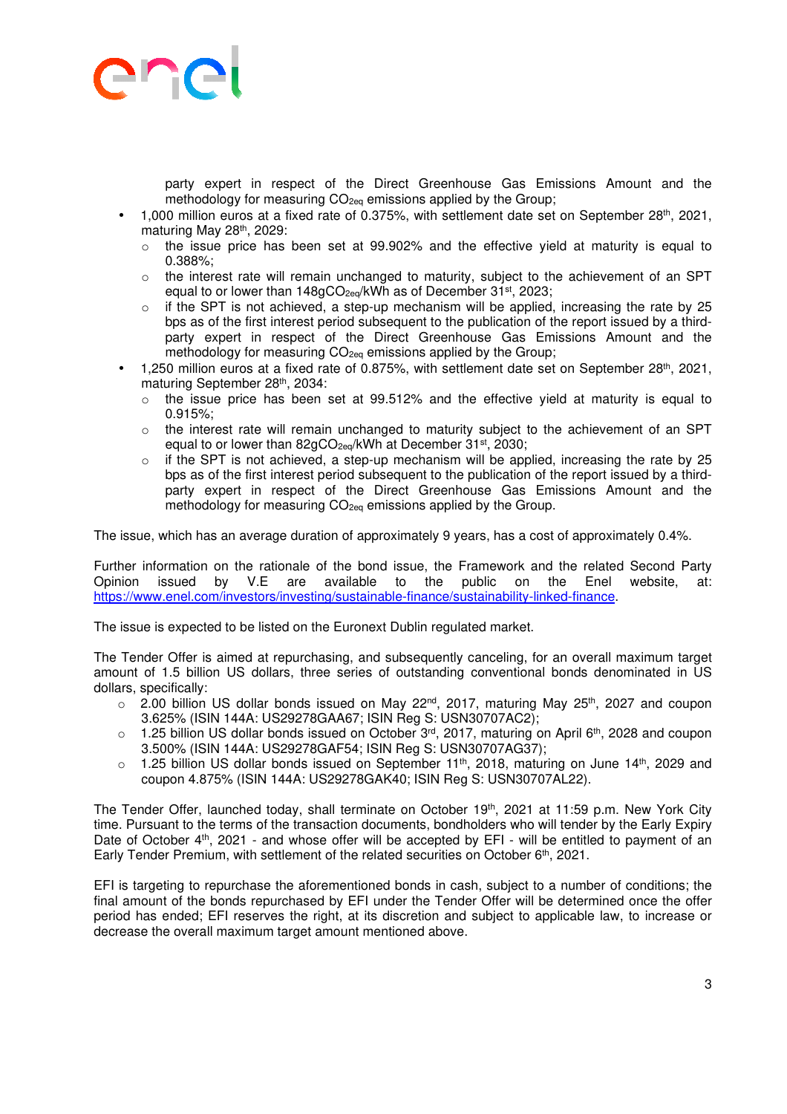

party expert in respect of the Direct Greenhouse Gas Emissions Amount and the methodology for measuring CO<sub>2eq</sub> emissions applied by the Group;

- 1,000 million euros at a fixed rate of 0.375%, with settlement date set on September 28<sup>th</sup>, 2021, maturing May 28<sup>th</sup>, 2029:
	- $\circ$  the issue price has been set at 99.902% and the effective vield at maturity is equal to 0.388%;
	- o the interest rate will remain unchanged to maturity, subject to the achievement of an SPT equal to or lower than 148gCO<sub>2eq</sub>/kWh as of December 31<sup>st</sup>, 2023;
	- $\circ$  if the SPT is not achieved, a step-up mechanism will be applied, increasing the rate by 25 bps as of the first interest period subsequent to the publication of the report issued by a thirdparty expert in respect of the Direct Greenhouse Gas Emissions Amount and the methodology for measuring CO<sub>2eq</sub> emissions applied by the Group;
- 1,250 million euros at a fixed rate of 0.875%, with settlement date set on September 28<sup>th</sup>, 2021, maturing September 28th, 2034:
	- $\circ$  the issue price has been set at 99.512% and the effective yield at maturity is equal to 0.915%;
	- $\circ$  the interest rate will remain unchanged to maturity subject to the achievement of an SPT equal to or lower than 82gCO<sub>2eq</sub>/kWh at December 31<sup>st</sup>, 2030:
	- $\circ$  if the SPT is not achieved, a step-up mechanism will be applied, increasing the rate by 25 bps as of the first interest period subsequent to the publication of the report issued by a thirdparty expert in respect of the Direct Greenhouse Gas Emissions Amount and the methodology for measuring CO<sub>2eq</sub> emissions applied by the Group.

The issue, which has an average duration of approximately 9 years, has a cost of approximately 0.4%.

Further information on the rationale of the bond issue, the Framework and the related Second Party Opinion issued by V.E are available to the public on the Enel website, at: https://www.enel.com/investors/investing/sustainable-finance/sustainability-linked-finance.

The issue is expected to be listed on the Euronext Dublin regulated market.

The Tender Offer is aimed at repurchasing, and subsequently canceling, for an overall maximum target amount of 1.5 billion US dollars, three series of outstanding conventional bonds denominated in US dollars, specifically:

- $\circ$  2.00 billion US dollar bonds issued on May 22<sup>nd</sup>, 2017, maturing May 25<sup>th</sup>, 2027 and coupon 3.625% (ISIN 144A: US29278GAA67; ISIN Reg S: USN30707AC2);
- o 1.25 billion US dollar bonds issued on October 3<sup>rd</sup>, 2017, maturing on April 6<sup>th</sup>, 2028 and coupon 3.500% (ISIN 144A: US29278GAF54; ISIN Reg S: USN30707AG37);
- $\circ$  1.25 billion US dollar bonds issued on September 11<sup>th</sup>, 2018, maturing on June 14<sup>th</sup>, 2029 and coupon 4.875% (ISIN 144A: US29278GAK40; ISIN Reg S: USN30707AL22).

The Tender Offer, launched today, shall terminate on October 19<sup>th</sup>, 2021 at 11:59 p.m. New York City time. Pursuant to the terms of the transaction documents, bondholders who will tender by the Early Expiry Date of October 4<sup>th</sup>, 2021 - and whose offer will be accepted by EFI - will be entitled to payment of an Early Tender Premium, with settlement of the related securities on October 6th, 2021.

EFI is targeting to repurchase the aforementioned bonds in cash, subject to a number of conditions; the final amount of the bonds repurchased by EFI under the Tender Offer will be determined once the offer period has ended; EFI reserves the right, at its discretion and subject to applicable law, to increase or decrease the overall maximum target amount mentioned above.